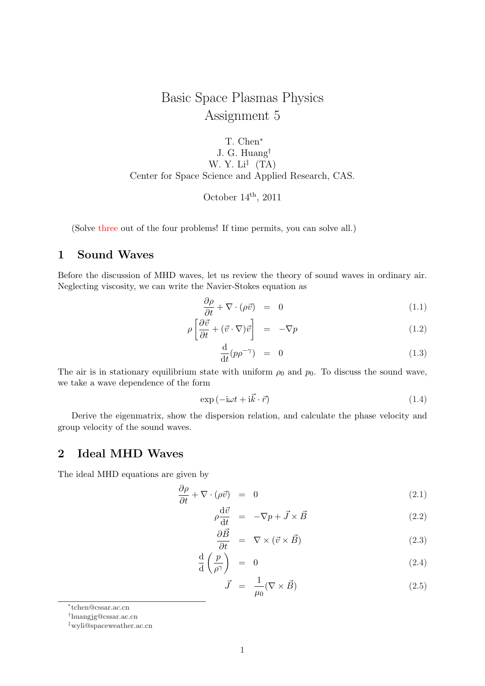# Basic Space Plasmas Physics Assignment 5

T. Chen*<sup>∗</sup>* J. G. Huang*†* W. Y. Li*‡* (TA) Center for Space Science and Applied Research, CAS.

October  $14^{\text{th}}$ , 2011

(Solve three out of the four problems! If time permits, you can solve all.)

## **1 Sound Waves**

Before the discussion of MHD waves, let us review the theory of sound waves in ordinary air. Neglecting viscosity, we can write the Navier-Stokes equation as

$$
\frac{\partial \rho}{\partial t} + \nabla \cdot (\rho \vec{v}) = 0 \tag{1.1}
$$

$$
\rho \left[ \frac{\partial \vec{v}}{\partial t} + (\vec{v} \cdot \nabla) \vec{v} \right] = -\nabla p \tag{1.2}
$$

$$
\frac{\mathrm{d}}{\mathrm{d}t}(p\rho^{-\gamma}) = 0 \tag{1.3}
$$

The air is in stationary equilibrium state with uniform  $\rho_0$  and  $p_0$ . To discuss the sound wave, we take a wave dependence of the form

$$
\exp\left(-i\omega t + i\vec{k}\cdot\vec{r}\right) \tag{1.4}
$$

Derive the eigenmatrix, show the dispersion relation, and calculate the phase velocity and group velocity of the sound waves.

### **2 Ideal MHD Waves**

The ideal MHD equations are given by

$$
\frac{\partial \rho}{\partial t} + \nabla \cdot (\rho \vec{v}) = 0 \tag{2.1}
$$

$$
\rho \frac{\mathrm{d}\vec{v}}{\mathrm{d}t} = -\nabla p + \vec{J} \times \vec{B} \tag{2.2}
$$

$$
\frac{\partial B}{\partial t} = \nabla \times (\vec{v} \times \vec{B}) \tag{2.3}
$$

$$
\frac{\mathrm{d}}{\mathrm{d}} \left( \frac{p}{\rho^{\gamma}} \right) = 0 \tag{2.4}
$$

$$
\vec{J} = \frac{1}{\mu_0} (\nabla \times \vec{B}) \tag{2.5}
$$

*<sup>∗</sup>* tchen@cssar.ac.cn

*<sup>†</sup>*huangjg@cssar.ac.cn

*<sup>‡</sup>*wyli@spaceweather.ac.cn